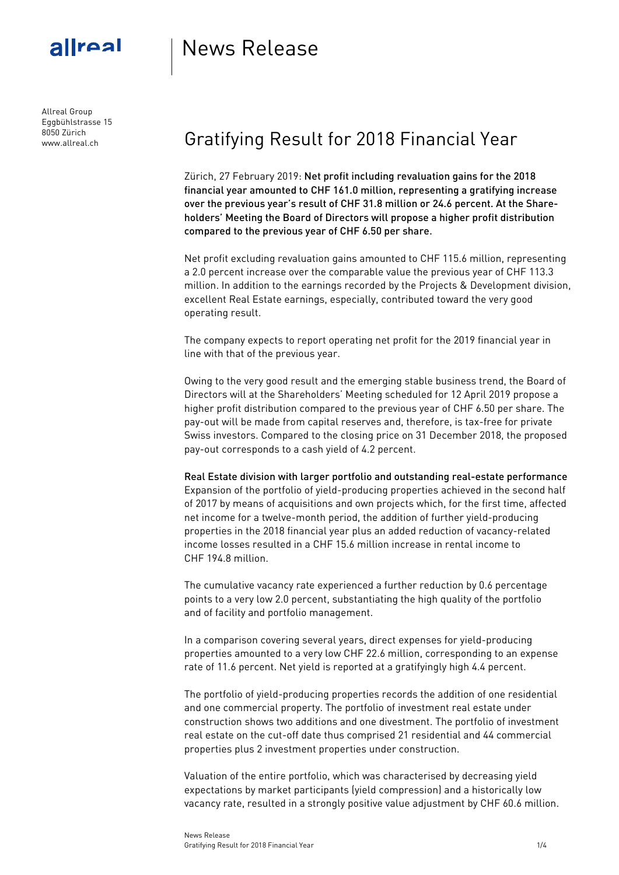

Allreal Group Eggbühlstrasse 15 8050 Zürich www.allreal.ch

# News Release

## Gratifying Result for 2018 Financial Year

Zürich, 27 February 2019: Net profit including revaluation gains for the 2018 financial year amounted to CHF 161.0 million, representing a gratifying increase over the previous year's result of CHF 31.8 million or 24.6 percent. At the Shareholders' Meeting the Board of Directors will propose a higher profit distribution compared to the previous year of CHF 6.50 per share.

Net profit excluding revaluation gains amounted to CHF 115.6 million, representing a 2.0 percent increase over the comparable value the previous year of CHF 113.3 million. In addition to the earnings recorded by the Projects & Development division, excellent Real Estate earnings, especially, contributed toward the very good operating result.

The company expects to report operating net profit for the 2019 financial year in line with that of the previous year.

Owing to the very good result and the emerging stable business trend, the Board of Directors will at the Shareholders' Meeting scheduled for 12 April 2019 propose a higher profit distribution compared to the previous year of CHF 6.50 per share. The pay-out will be made from capital reserves and, therefore, is tax-free for private Swiss investors. Compared to the closing price on 31 December 2018, the proposed pay-out corresponds to a cash yield of 4.2 percent.

Real Estate division with larger portfolio and outstanding real-estate performance Expansion of the portfolio of yield-producing properties achieved in the second half of 2017 by means of acquisitions and own projects which, for the first time, affected net income for a twelve-month period, the addition of further yield-producing properties in the 2018 financial year plus an added reduction of vacancy-related income losses resulted in a CHF 15.6 million increase in rental income to CHF 194.8 million.

The cumulative vacancy rate experienced a further reduction by 0.6 percentage points to a very low 2.0 percent, substantiating the high quality of the portfolio and of facility and portfolio management.

In a comparison covering several years, direct expenses for yield-producing properties amounted to a very low CHF 22.6 million, corresponding to an expense rate of 11.6 percent. Net yield is reported at a gratifyingly high 4.4 percent.

The portfolio of yield-producing properties records the addition of one residential and one commercial property. The portfolio of investment real estate under construction shows two additions and one divestment. The portfolio of investment real estate on the cut-off date thus comprised 21 residential and 44 commercial properties plus 2 investment properties under construction.

Valuation of the entire portfolio, which was characterised by decreasing yield expectations by market participants (yield compression) and a historically low vacancy rate, resulted in a strongly positive value adjustment by CHF 60.6 million.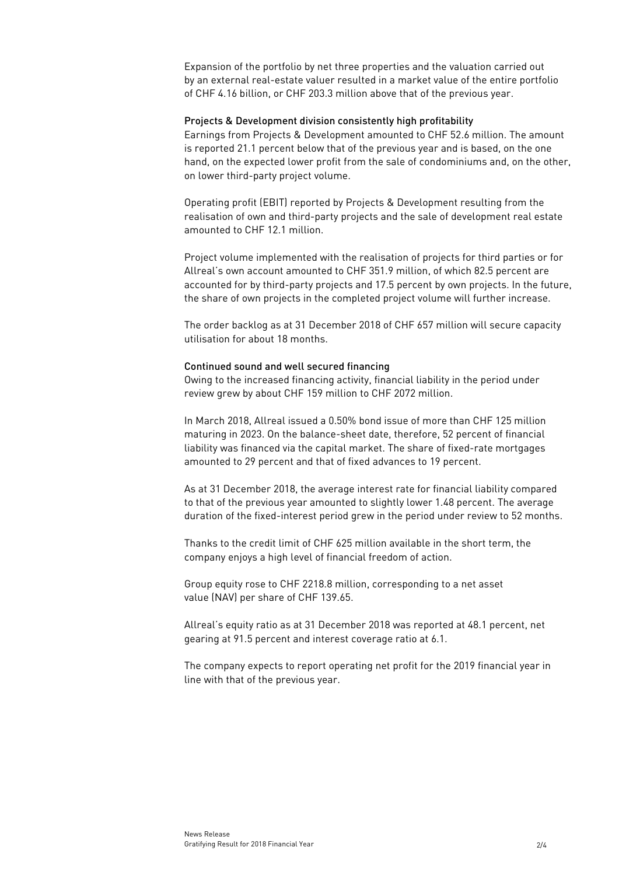Expansion of the portfolio by net three properties and the valuation carried out by an external real-estate valuer resulted in a market value of the entire portfolio of CHF 4.16 billion, or CHF 203.3 million above that of the previous year.

#### Projects & Development division consistently high profitability

Earnings from Projects & Development amounted to CHF 52.6 million. The amount is reported 21.1 percent below that of the previous year and is based, on the one hand, on the expected lower profit from the sale of condominiums and, on the other, on lower third-party project volume.

Operating profit (EBIT) reported by Projects & Development resulting from the realisation of own and third-party projects and the sale of development real estate amounted to CHF 12.1 million.

Project volume implemented with the realisation of projects for third parties or for Allreal's own account amounted to CHF 351.9 million, of which 82.5 percent are accounted for by third-party projects and 17.5 percent by own projects. In the future, the share of own projects in the completed project volume will further increase.

The order backlog as at 31 December 2018 of CHF 657 million will secure capacity utilisation for about 18 months.

### Continued sound and well secured financing

Owing to the increased financing activity, financial liability in the period under review grew by about CHF 159 million to CHF 2072 million.

In March 2018, Allreal issued a 0.50% bond issue of more than CHF 125 million maturing in 2023. On the balance-sheet date, therefore, 52 percent of financial liability was financed via the capital market. The share of fixed-rate mortgages amounted to 29 percent and that of fixed advances to 19 percent.

As at 31 December 2018, the average interest rate for financial liability compared to that of the previous year amounted to slightly lower 1.48 percent. The average duration of the fixed-interest period grew in the period under review to 52 months.

Thanks to the credit limit of CHF 625 million available in the short term, the company enjoys a high level of financial freedom of action.

Group equity rose to CHF 2218.8 million, corresponding to a net asset value (NAV) per share of CHF 139.65.

Allreal's equity ratio as at 31 December 2018 was reported at 48.1 percent, net gearing at 91.5 percent and interest coverage ratio at 6.1.

The company expects to report operating net profit for the 2019 financial year in line with that of the previous year.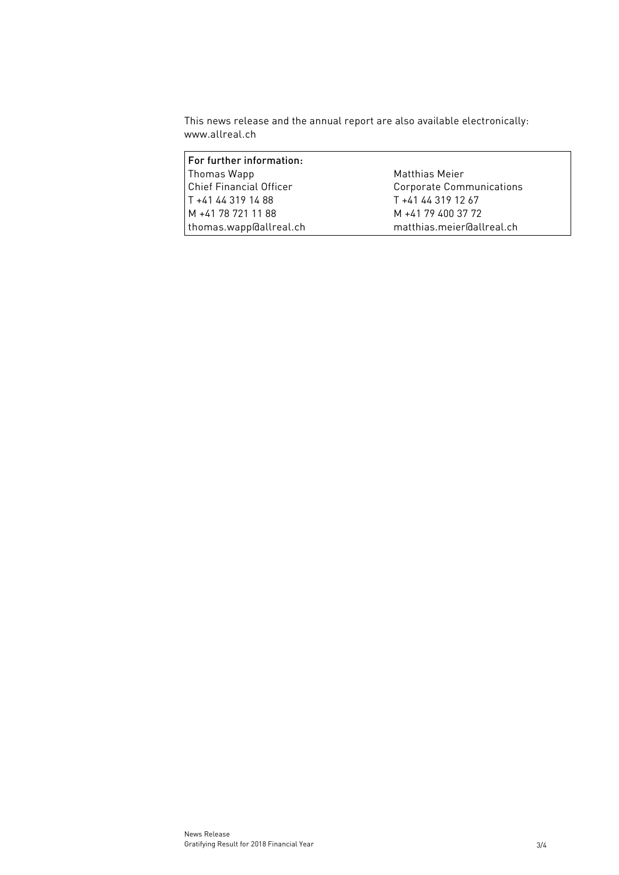This news release and the annual report are also available electronically: [www.allreal.ch](http://www.allreal.ch/)

| For further information:       |                           |
|--------------------------------|---------------------------|
| Thomas Wapp                    | Matthias Meier            |
| <b>Chief Financial Officer</b> | Corporate Communications  |
| T +41 44 319 14 88             | T +41 44 319 12 67        |
| M +41 78 721 11 88             | M +41 79 400 37 72        |
| thomas.wapp@allreal.ch         | matthias.meier@allreal.ch |
|                                |                           |